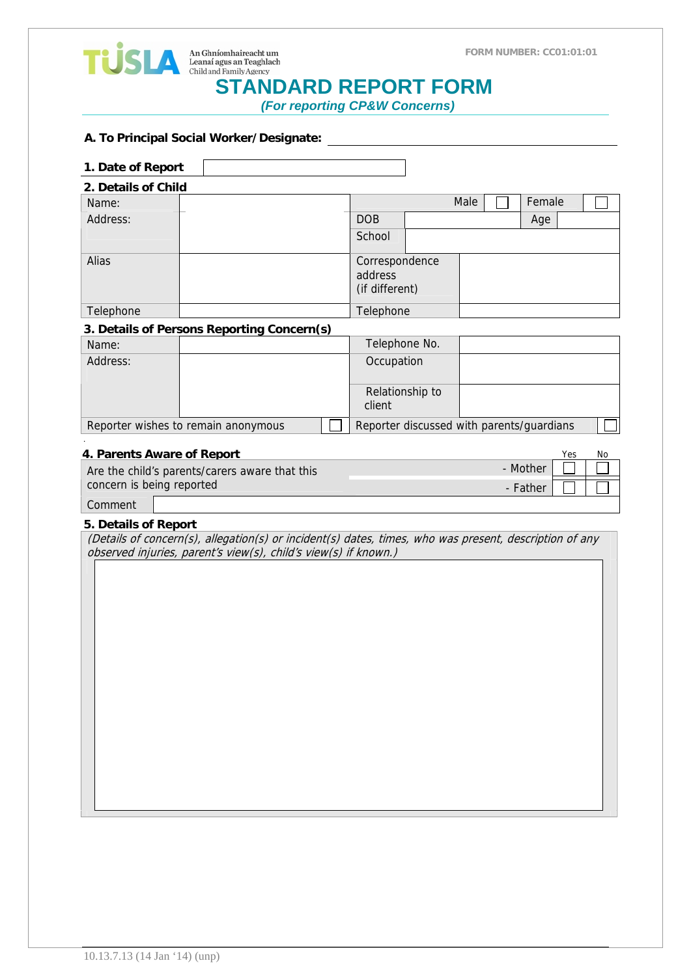





# **An Ghníomhaireacht um**<br>
Leanaí agus an Teaghlach<br>
Child and Family Agency<br> **STANDARD REPORT FORM**

 *(For reporting CP&W Concerns)* 

#### **A. To Principal Social Worker/Designate:**

| 1. Date of Report                   |                                            |                                           |                                             |      |        |     |    |
|-------------------------------------|--------------------------------------------|-------------------------------------------|---------------------------------------------|------|--------|-----|----|
| 2. Details of Child                 |                                            |                                           |                                             |      |        |     |    |
| Name:                               |                                            |                                           |                                             | Male | Female |     |    |
| Address:                            |                                            |                                           | <b>DOB</b>                                  |      | Age    |     |    |
|                                     |                                            |                                           | School                                      |      |        |     |    |
| Alias                               |                                            |                                           | Correspondence<br>address<br>(if different) |      |        |     |    |
| Telephone                           |                                            |                                           | Telephone                                   |      |        |     |    |
|                                     | 3. Details of Persons Reporting Concern(s) |                                           |                                             |      |        |     |    |
| Name:                               |                                            |                                           | Telephone No.                               |      |        |     |    |
| Address:                            |                                            |                                           | Occupation                                  |      |        |     |    |
|                                     |                                            |                                           | Relationship to<br>client                   |      |        |     |    |
| Reporter wishes to remain anonymous |                                            | Reporter discussed with parents/guardians |                                             |      |        |     |    |
| 4. Parents Aware of Report          |                                            |                                           |                                             |      |        | Yes | No |

| 4. Parents Aware of Report                                 |          |  |  |  |
|------------------------------------------------------------|----------|--|--|--|
| - Mother<br>Are the child's parents/carers aware that this |          |  |  |  |
| concern is being reported                                  | - Father |  |  |  |
| Comment                                                    |          |  |  |  |

### **5. Details of Report**

| (Details of concern(s), allegation(s) or incident(s) dates, times, who was present, description of any |  |  |  |
|--------------------------------------------------------------------------------------------------------|--|--|--|
| observed injuries, parent's view(s), child's view(s) if known.)                                        |  |  |  |